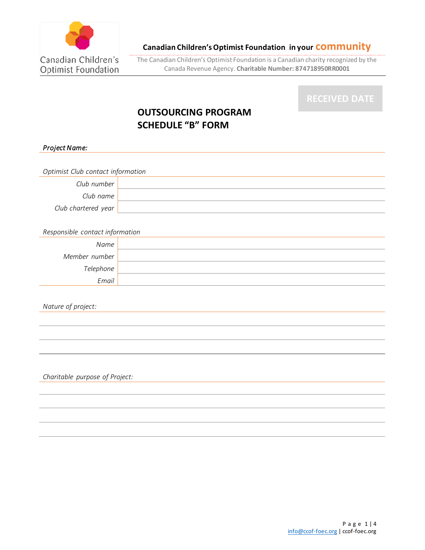

The Canadian Children's Optimist Foundation is a Canadian charity recognized by the Canada Revenue Agency. **Charitable Number: 874718950RR0001**

# **OUTSOURCING PROGRAM SCHEDULE "B" FORM**

*Project Name:* 

*Optimist Club contact information Club number Club name Club chartered year* 

*Responsible contact information*

| Name          |  |
|---------------|--|
| Member number |  |
| Telephone     |  |
| Email         |  |

*Nature of project:*

*Charitable purpose of Project:*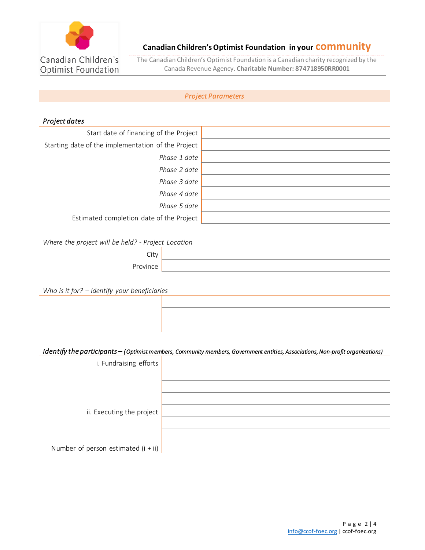

The Canadian Children's Optimist Foundation is a Canadian charity recognized by the Canada Revenue Agency. **Charitable Number: 874718950RR0001**

## *Project Parameters*

## *Project dates*

| Start date of financing of the Project             |  |
|----------------------------------------------------|--|
| Starting date of the implementation of the Project |  |
| Phase 1 date                                       |  |
| Phase 2 date                                       |  |
| Phase 3 date                                       |  |
| Phase 4 date                                       |  |
| Phase 5 date                                       |  |
| Estimated completion date of the Project           |  |

*Where the project will be held? - Project Location*

| Ÿ        |  |
|----------|--|
| ovince : |  |

*Who is it for? – Identify your beneficiaries*

## *Identify the participants – (Optimist members, Community members, Government entities, Associations, Non-profit organizations)*

| i. Fundraising efforts                |  |
|---------------------------------------|--|
|                                       |  |
|                                       |  |
|                                       |  |
| ii. Executing the project             |  |
|                                       |  |
|                                       |  |
| Number of person estimated $(i + ii)$ |  |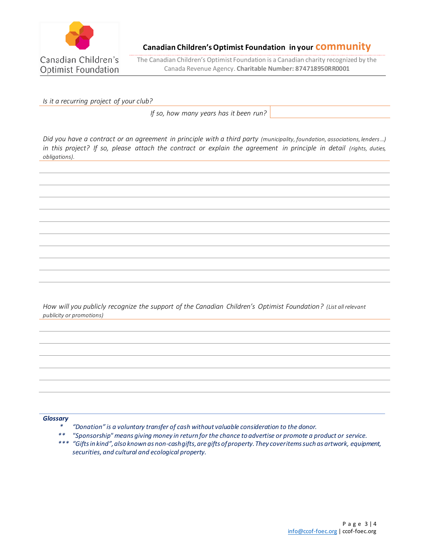

The Canadian Children's Optimist Foundation is a Canadian charity recognized by the Canada Revenue Agency. **Charitable Number: 874718950RR0001**

*Is it a recurring project of your club?* 

*If so, how many years has it been run?*

*Did you have a contract or an agreement in principle with a third party (municipality, foundation, associations, lenders …) in this project? If so, please attach the contract or explain the agreement in principle in detail (rights, duties, obligations).*

*How will you publicly recognize the support of the Canadian Children's Optimist Foundation? (List all relevant publicity or promotions)*

*Glossary*

- *\* "Donation" is a voluntary transfer of cash without valuable consideration to the donor.*
- *\*\* "Sponsorship" means giving money in return for the chance to advertise or promote a product or service.*
- *\*\*\* "Gifts in kind", also known as non-cash gifts, are gifts of property. They cover items such as artwork, equipment, securities, and cultural and ecological property.*